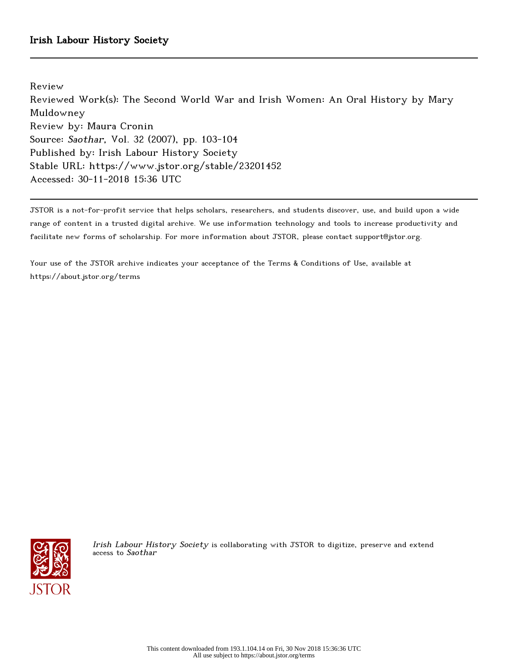Review

Reviewed Work(s): The Second World War and Irish Women: An Oral History by Mary Muldowney Review by: Maura Cronin Source: Saothar, Vol. 32 (2007), pp. 103-104 Published by: Irish Labour History Society Stable URL: https://www.jstor.org/stable/23201452 Accessed: 30-11-2018 15:36 UTC

JSTOR is a not-for-profit service that helps scholars, researchers, and students discover, use, and build upon a wide range of content in a trusted digital archive. We use information technology and tools to increase productivity and facilitate new forms of scholarship. For more information about JSTOR, please contact support@jstor.org.

Your use of the JSTOR archive indicates your acceptance of the Terms & Conditions of Use, available at https://about.jstor.org/terms



Irish Labour History Society is collaborating with JSTOR to digitize, preserve and extend access to Saothar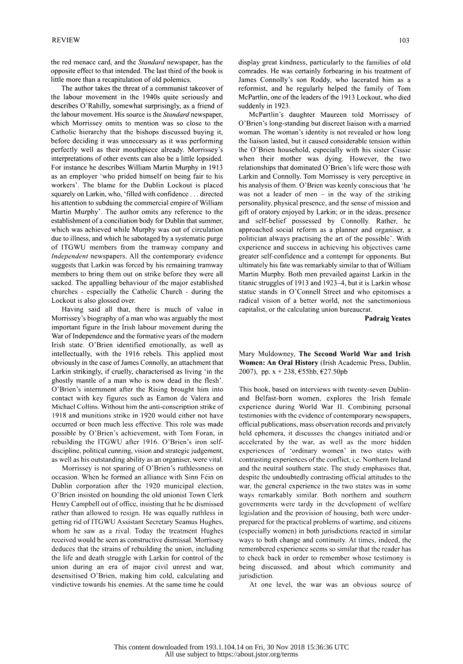the red menace card, and the Standard newspaper, has the opposite effect to that intended. The last third of the book is little more than a recapitulation of old polemics.

 The author takes the threat of a communist takeover of the labour movement in the 1940s quite seriously and describes O'Rahilly, somewhat surprisingly, as a friend of the labour movement. His source is the Standard newspaper, which Morrissey omits to mention was so close to the Catholic hierarchy that the bishops discussed buying it, before deciding it was unnecessary as it was performing perfectly well as their mouthpiece already. Morrissey's interpretations of other events can also be a little lopsided. For instance he describes William Martin Murphy in 1913 as an employer 'who prided himself on being fair to his workers'. The blame for the Dublin Lockout is placed squarely on Larkin, who, 'filled with confidence ... directed his attention to subduing the commercial empire of William Martin Murphy'. The author omits any reference to the establishment of a conciliation body for Dublin that summer, which was achieved while Murphy was out of circulation due to illness, and which he sabotaged by a systematic purge of ITGWU members from the tramway company and Independent newspapers. All the contemporary evidence suggests that Larkin was forced by his remaining tramway members to bring them out on strike before they were all sacked. The appalling behaviour of the major established churches - especially the Catholic Church - during the Lockout is also glossed over.

 Having said all that, there is much of value in Morrissey's biography of a man who was arguably the most important figure in the Irish labour movement during the War of Independence and the formative years of the modern Irish state. O'Brien identified emotionally, as well as intellectually, with the 1916 rebels. This applied most obviously in the case of James Connolly, an attachment that Larkin strikingly, if cruelly, characterised as living 'in the ghostly mantle of a man who is now dead in the flesh'. O'Brien's internment after the Rising brought him into contact with key figures such as Eamon de Valera and Michael Collins. Without him the anti-conscription strike of 1918 and munitions strike in 1920 would either not have occurred or been much less effective. This role was made possible by O'Brien's achievement, with Tom Foran, in rebuilding the ITGWU after 1916. O'Brien's iron self discipline, political cunning, vision and strategic judgement, as well as his outstanding ability as an organiser, were vital.

 Morrissey is not sparing of O'Brien's ruthlessness on occasion. When he formed an alliance with Sinn Féin on Dublin corporation after the 1920 municipal election, O'Brien insisted on hounding the old unionist Town Clerk Henry Campbell out of office, insisting that he be dismissed rather than allowed to resign. He was equally ruthless in getting rid of ITGWU Assistant Secretary Seamus Hughes, whom he saw as a rival. Today the treatment Hughes received would be seen as constructive dismissal. Morrissey deduces that the strains of rebuilding the union, including the life and death struggle with Larkin for control of the union during an era of major civil unrest and war, desensitised O'Brien, making him cold, calculating and vindictive towards his enemies. At the same time he could  display great kindness, particularly to the families of old comrades. He was certainly forbearing in his treatment of James Connolly's son Roddy, who lacerated him as a reformist, and he regularly helped the family of Tom McPartlin, one of the leaders of the 1913 Lockout, who died suddenly in 1923.

 McPartlm's daughter Maureen told Morrissey of O'Brien's long-standing but discreet liaison with a married woman. The woman's identity is not revealed or how long the liaison lasted, but it caused considerable tension within the O'Brien household, especially with his sister Cissie when their mother was dying. However, the two relationships that dominated O'Brien's life were those with Larkin and Connolly. Tom Morrissey is very perceptive in his analysis of them. O'Brien was keenly conscious that 'he was not a leader of men  $-$  in the way of the striking personality, physical presence, and the sense of mission and gift of oratory enjoyed by Larkin; or in the ideas, presence and self-belief possessed by Connolly. Rather, he approached social reform as a planner and organiser, a politician always practising the art of the possible'. With experience and success in achieving his objectives came greater self-confidence and a contempt for opponents. But ultimately his fate was remarkably similar to that of William Martin Murphy. Both men prevailed against Larkin in the titanic struggles of 1913 and 1923-4, but it is Larkin whose statue stands in O'Connell Street and who epitomises a radical vision of a better world, not the sanctimonious capitalist, or the calculating union bureaucrat.

Padraig Yeates

 Mary Muldowney, The Second World War and Irish Women: An Oral History (Irish Academic Press, Dublin, 2007), pp. x + 238, €55hb, €27.50pb

 This book, based on interviews with twenty-seven Dublin and Belfast-born women, explores the Irish female experience during World War II. Combining personal testimonies with the evidence of contemporary newspapers, official publications, mass observation records and privately held ephemera, it discusses the changes initiated and/or accelerated by the war, as well as the more hidden experiences of 'ordinary women' in two states with contrasting experiences of the conflict, i.e. Northern Ireland and the neutral southern state. The study emphasises that, despite the undoubtedly contrasting official attitudes to the war, the general experience in the two states was in some ways remarkably similar. Both northern and southern governments were tardy in the development of welfare legislation and the provision of housing, both were under prepared for the practical problems of wartime, and citizens (especially women) in both jurisdictions reacted in similar ways to both change and continuity. At times, indeed, the remembered experience seems so similar that the reader has to check back in order to remember whose testimony is being discussed, and about which community and jurisdiction.

At one level, the war was an obvious source of